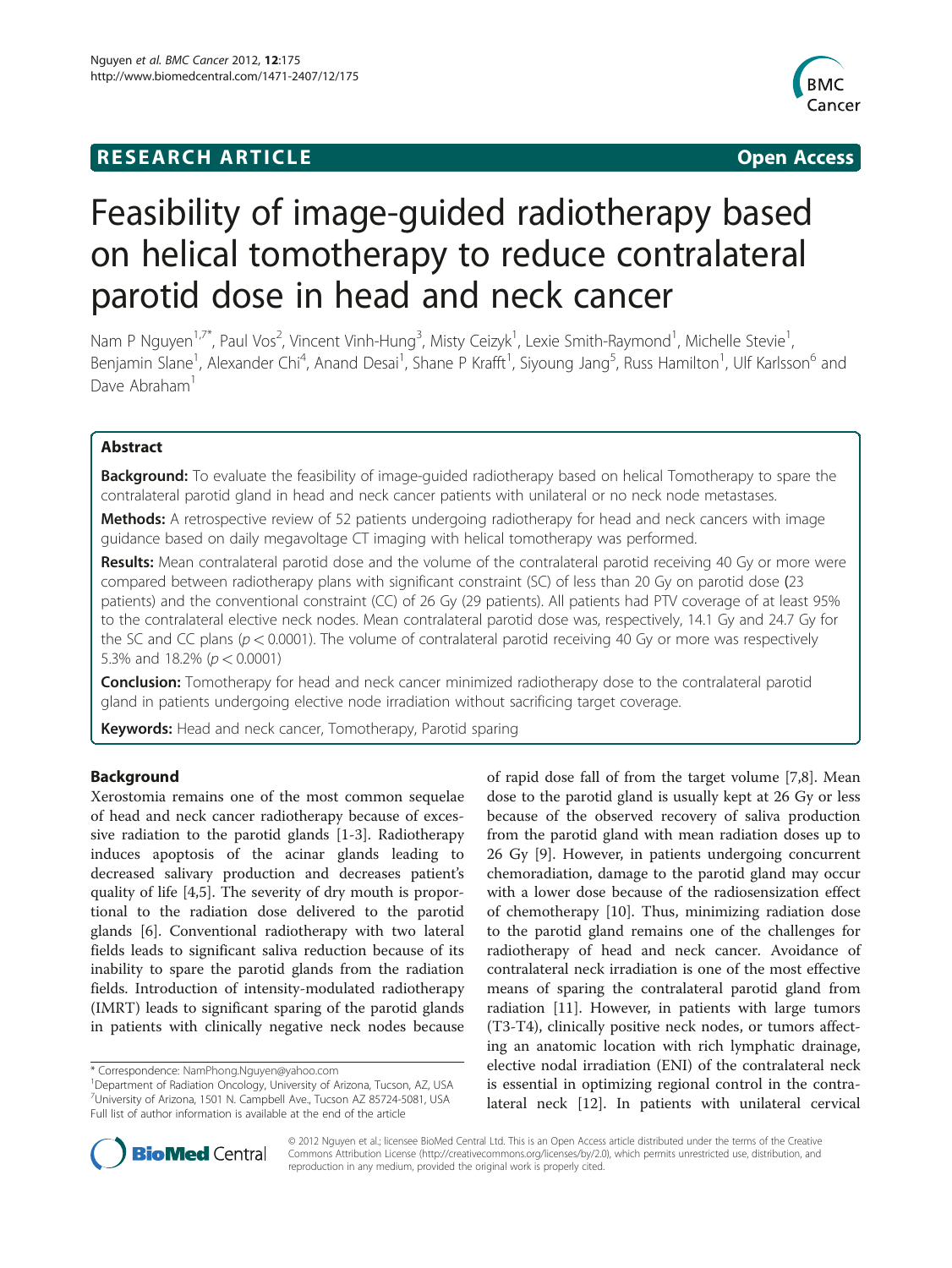# **RESEARCH ARTICLE Example 2018 12:00 Department of the CONNECTION CONNECTION CONNECTION CONNECTION**



# Feasibility of image-guided radiotherapy based on helical tomotherapy to reduce contralateral parotid dose in head and neck cancer

Nam P Nguyen<sup>1,7\*</sup>, Paul Vos<sup>2</sup>, Vincent Vinh-Hung<sup>3</sup>, Misty Ceizyk<sup>1</sup>, Lexie Smith-Raymond<sup>1</sup>, Michelle Stevie<sup>1</sup> , Benjamin Slane<sup>1</sup>, Alexander Chi<sup>4</sup>, Anand Desai<sup>1</sup>, Shane P Krafft<sup>1</sup>, Siyoung Jang<sup>5</sup>, Russ Hamilton<sup>1</sup>, Ulf Karlsson<sup>6</sup> and Dave Abraham<sup>1</sup>

# Abstract

**Background:** To evaluate the feasibility of image-quided radiotherapy based on helical Tomotherapy to spare the contralateral parotid gland in head and neck cancer patients with unilateral or no neck node metastases.

Methods: A retrospective review of 52 patients undergoing radiotherapy for head and neck cancers with image guidance based on daily megavoltage CT imaging with helical tomotherapy was performed.

Results: Mean contralateral parotid dose and the volume of the contralateral parotid receiving 40 Gy or more were compared between radiotherapy plans with significant constraint (SC) of less than 20 Gy on parotid dose (23 patients) and the conventional constraint (CC) of 26 Gy (29 patients). All patients had PTV coverage of at least 95% to the contralateral elective neck nodes. Mean contralateral parotid dose was, respectively, 14.1 Gy and 24.7 Gy for the SC and CC plans ( $p < 0.0001$ ). The volume of contralateral parotid receiving 40 Gy or more was respectively 5.3% and 18.2% ( $p < 0.0001$ )

**Conclusion:** Tomotherapy for head and neck cancer minimized radiotherapy dose to the contralateral parotid gland in patients undergoing elective node irradiation without sacrificing target coverage.

Keywords: Head and neck cancer, Tomotherapy, Parotid sparing

# Background

Xerostomia remains one of the most common sequelae of head and neck cancer radiotherapy because of excessive radiation to the parotid glands [[1-3\]](#page-6-0). Radiotherapy induces apoptosis of the acinar glands leading to decreased salivary production and decreases patient's quality of life [\[4](#page-6-0),[5](#page-6-0)]. The severity of dry mouth is proportional to the radiation dose delivered to the parotid glands [[6\]](#page-6-0). Conventional radiotherapy with two lateral fields leads to significant saliva reduction because of its inability to spare the parotid glands from the radiation fields. Introduction of intensity-modulated radiotherapy (IMRT) leads to significant sparing of the parotid glands in patients with clinically negative neck nodes because

of rapid dose fall of from the target volume [\[7,8](#page-6-0)]. Mean dose to the parotid gland is usually kept at 26 Gy or less because of the observed recovery of saliva production from the parotid gland with mean radiation doses up to 26 Gy [[9\]](#page-6-0). However, in patients undergoing concurrent chemoradiation, damage to the parotid gland may occur with a lower dose because of the radiosensization effect of chemotherapy [\[10\]](#page-6-0). Thus, minimizing radiation dose to the parotid gland remains one of the challenges for radiotherapy of head and neck cancer. Avoidance of contralateral neck irradiation is one of the most effective means of sparing the contralateral parotid gland from radiation [\[11](#page-6-0)]. However, in patients with large tumors (T3-T4), clinically positive neck nodes, or tumors affecting an anatomic location with rich lymphatic drainage, elective nodal irradiation (ENI) of the contralateral neck is essential in optimizing regional control in the contralateral neck [\[12](#page-7-0)]. In patients with unilateral cervical



© 2012 Nguyen et al.; licensee BioMed Central Ltd. This is an Open Access article distributed under the terms of the Creative Commons Attribution License [\(http://creativecommons.org/licenses/by/2.0\)](http://creativecommons.org/licenses/by/2.0), which permits unrestricted use, distribution, and reproduction in any medium, provided the original work is properly cited.

<sup>\*</sup> Correspondence: [NamPhong.Nguyen@yahoo.com](mailto:NamPhong.Nguyen@yahoo.com) <sup>1</sup>

<sup>&</sup>lt;sup>1</sup>Department of Radiation Oncology, University of Arizona, Tucson, AZ, USA 7 University of Arizona, 1501 N. Campbell Ave., Tucson AZ 85724-5081, USA Full list of author information is available at the end of the article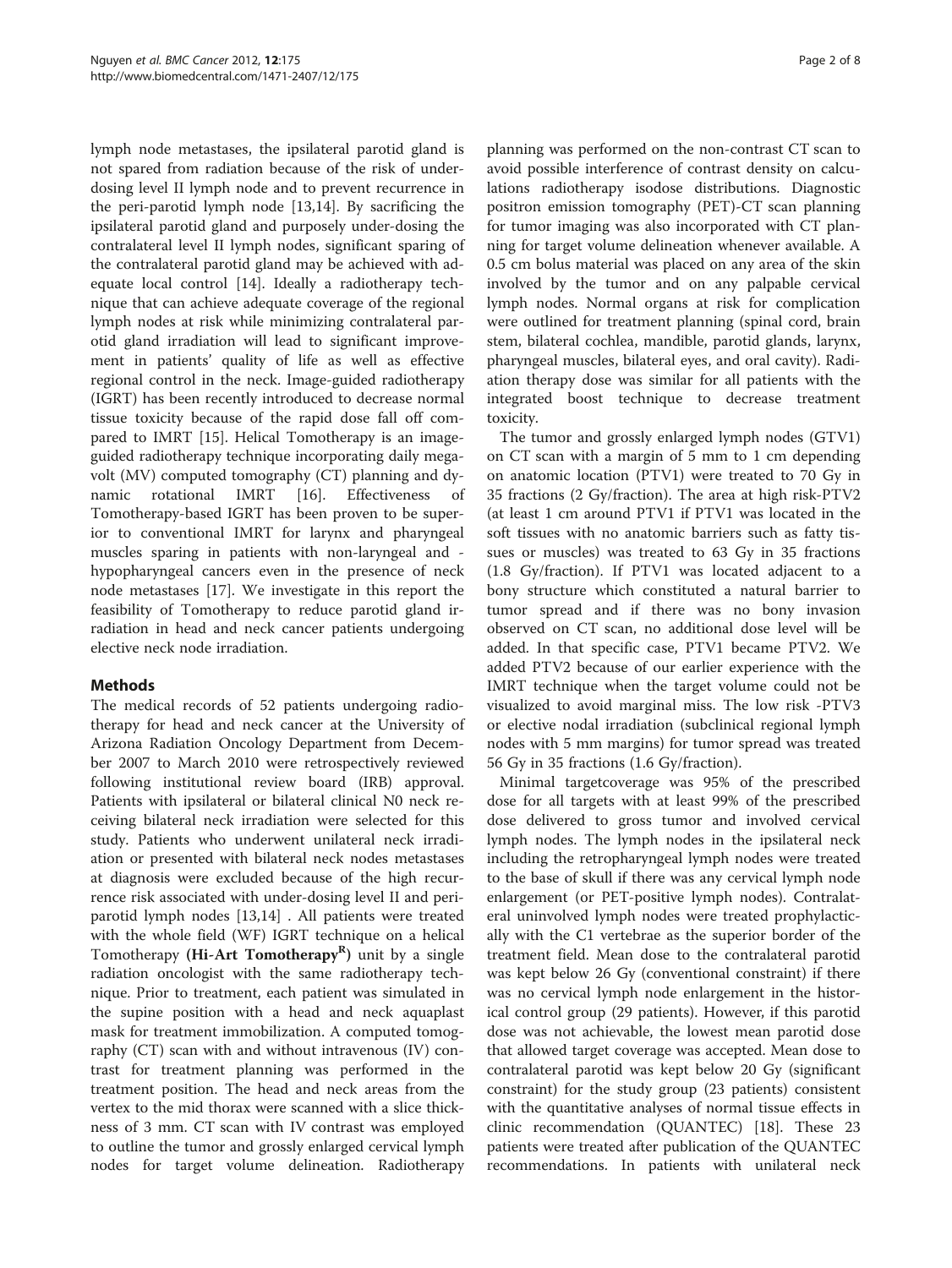lymph node metastases, the ipsilateral parotid gland is not spared from radiation because of the risk of underdosing level II lymph node and to prevent recurrence in the peri-parotid lymph node [\[13,14](#page-7-0)]. By sacrificing the ipsilateral parotid gland and purposely under-dosing the contralateral level II lymph nodes, significant sparing of the contralateral parotid gland may be achieved with adequate local control [[14\]](#page-7-0). Ideally a radiotherapy technique that can achieve adequate coverage of the regional lymph nodes at risk while minimizing contralateral parotid gland irradiation will lead to significant improvement in patients' quality of life as well as effective regional control in the neck. Image-guided radiotherapy (IGRT) has been recently introduced to decrease normal tissue toxicity because of the rapid dose fall off compared to IMRT [[15](#page-7-0)]. Helical Tomotherapy is an imageguided radiotherapy technique incorporating daily megavolt (MV) computed tomography (CT) planning and dynamic rotational IMRT [[16\]](#page-7-0). Effectiveness of Tomotherapy-based IGRT has been proven to be superior to conventional IMRT for larynx and pharyngeal muscles sparing in patients with non-laryngeal and hypopharyngeal cancers even in the presence of neck node metastases [\[17\]](#page-7-0). We investigate in this report the feasibility of Tomotherapy to reduce parotid gland irradiation in head and neck cancer patients undergoing elective neck node irradiation.

# Methods

The medical records of 52 patients undergoing radiotherapy for head and neck cancer at the University of Arizona Radiation Oncology Department from December 2007 to March 2010 were retrospectively reviewed following institutional review board (IRB) approval. Patients with ipsilateral or bilateral clinical N0 neck receiving bilateral neck irradiation were selected for this study. Patients who underwent unilateral neck irradiation or presented with bilateral neck nodes metastases at diagnosis were excluded because of the high recurrence risk associated with under-dosing level II and periparotid lymph nodes [\[13,14\]](#page-7-0) . All patients were treated with the whole field (WF) IGRT technique on a helical Tomotherapy (Hi-Art Tomotherapy<sup>R</sup>) unit by a single radiation oncologist with the same radiotherapy technique. Prior to treatment, each patient was simulated in the supine position with a head and neck aquaplast mask for treatment immobilization. A computed tomography (CT) scan with and without intravenous (IV) contrast for treatment planning was performed in the treatment position. The head and neck areas from the vertex to the mid thorax were scanned with a slice thickness of 3 mm. CT scan with IV contrast was employed to outline the tumor and grossly enlarged cervical lymph nodes for target volume delineation. Radiotherapy

planning was performed on the non-contrast CT scan to avoid possible interference of contrast density on calculations radiotherapy isodose distributions. Diagnostic positron emission tomography (PET)-CT scan planning for tumor imaging was also incorporated with CT planning for target volume delineation whenever available. A 0.5 cm bolus material was placed on any area of the skin involved by the tumor and on any palpable cervical lymph nodes. Normal organs at risk for complication were outlined for treatment planning (spinal cord, brain stem, bilateral cochlea, mandible, parotid glands, larynx, pharyngeal muscles, bilateral eyes, and oral cavity). Radiation therapy dose was similar for all patients with the integrated boost technique to decrease treatment toxicity.

The tumor and grossly enlarged lymph nodes (GTV1) on CT scan with a margin of 5 mm to 1 cm depending on anatomic location (PTV1) were treated to 70 Gy in 35 fractions (2 Gy/fraction). The area at high risk-PTV2 (at least 1 cm around PTV1 if PTV1 was located in the soft tissues with no anatomic barriers such as fatty tissues or muscles) was treated to 63 Gy in 35 fractions (1.8 Gy/fraction). If PTV1 was located adjacent to a bony structure which constituted a natural barrier to tumor spread and if there was no bony invasion observed on CT scan, no additional dose level will be added. In that specific case, PTV1 became PTV2. We added PTV2 because of our earlier experience with the IMRT technique when the target volume could not be visualized to avoid marginal miss. The low risk -PTV3 or elective nodal irradiation (subclinical regional lymph nodes with 5 mm margins) for tumor spread was treated 56 Gy in 35 fractions (1.6 Gy/fraction).

Minimal targetcoverage was 95% of the prescribed dose for all targets with at least 99% of the prescribed dose delivered to gross tumor and involved cervical lymph nodes. The lymph nodes in the ipsilateral neck including the retropharyngeal lymph nodes were treated to the base of skull if there was any cervical lymph node enlargement (or PET-positive lymph nodes). Contralateral uninvolved lymph nodes were treated prophylactically with the C1 vertebrae as the superior border of the treatment field. Mean dose to the contralateral parotid was kept below 26 Gy (conventional constraint) if there was no cervical lymph node enlargement in the historical control group (29 patients). However, if this parotid dose was not achievable, the lowest mean parotid dose that allowed target coverage was accepted. Mean dose to contralateral parotid was kept below 20 Gy (significant constraint) for the study group (23 patients) consistent with the quantitative analyses of normal tissue effects in clinic recommendation (QUANTEC) [\[18\]](#page-7-0). These 23 patients were treated after publication of the QUANTEC recommendations. In patients with unilateral neck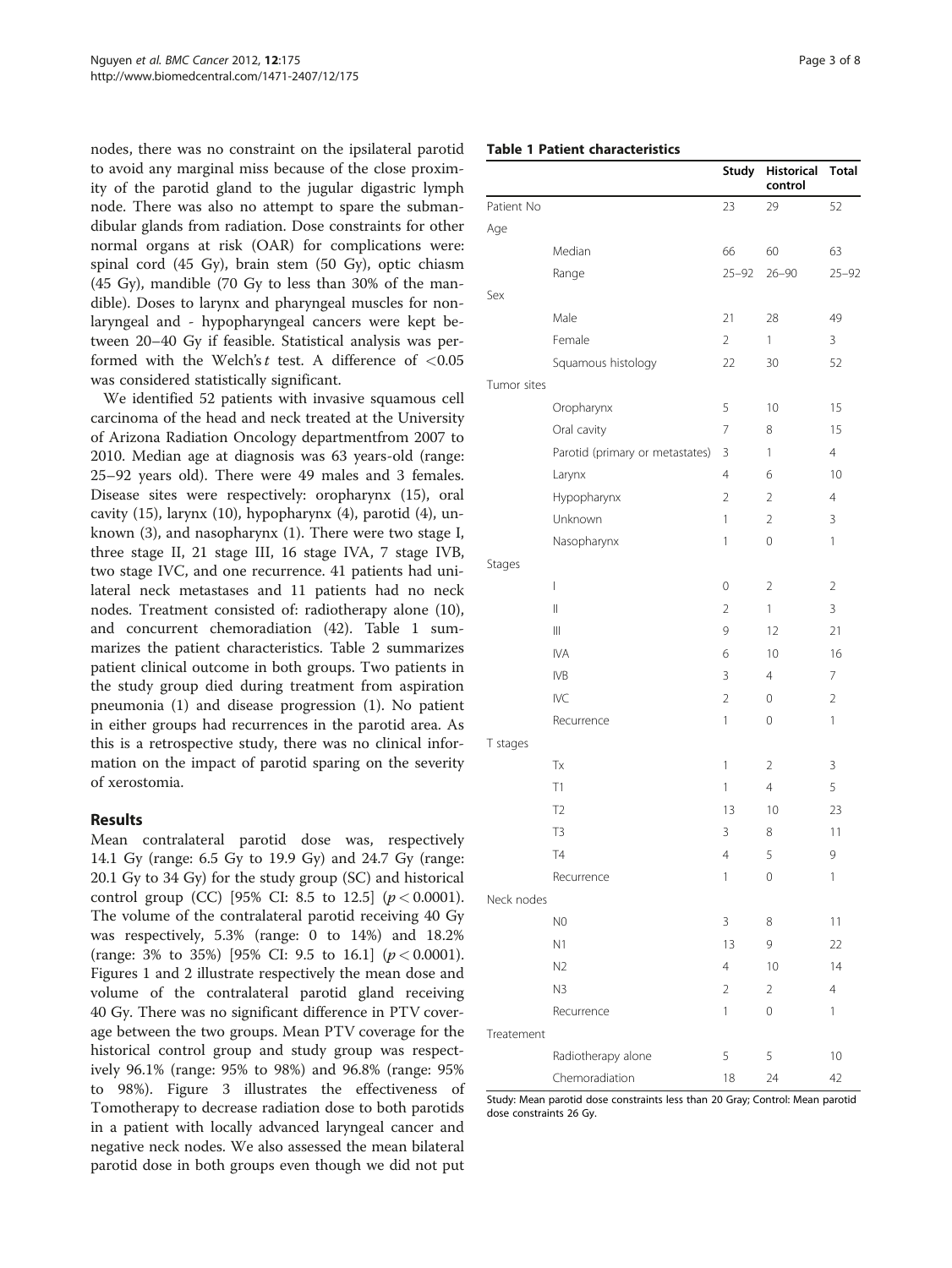nodes, there was no constraint on the ipsilateral parotid to avoid any marginal miss because of the close proximity of the parotid gland to the jugular digastric lymph node. There was also no attempt to spare the submandibular glands from radiation. Dose constraints for other normal organs at risk (OAR) for complications were: spinal cord (45 Gy), brain stem (50 Gy), optic chiasm (45 Gy), mandible (70 Gy to less than 30% of the mandible). Doses to larynx and pharyngeal muscles for nonlaryngeal and - hypopharyngeal cancers were kept between 20–40 Gy if feasible. Statistical analysis was performed with the Welch's  $t$  test. A difference of  $< 0.05$ was considered statistically significant.

We identified 52 patients with invasive squamous cell carcinoma of the head and neck treated at the University of Arizona Radiation Oncology departmentfrom 2007 to 2010. Median age at diagnosis was 63 years-old (range: 25–92 years old). There were 49 males and 3 females. Disease sites were respectively: oropharynx (15), oral cavity (15), larynx (10), hypopharynx (4), parotid (4), unknown (3), and nasopharynx (1). There were two stage I, three stage II, 21 stage III, 16 stage IVA, 7 stage IVB, two stage IVC, and one recurrence. 41 patients had unilateral neck metastases and 11 patients had no neck nodes. Treatment consisted of: radiotherapy alone (10), and concurrent chemoradiation (42). Table 1 summarizes the patient characteristics. Table [2](#page-3-0) summarizes patient clinical outcome in both groups. Two patients in the study group died during treatment from aspiration pneumonia (1) and disease progression (1). No patient in either groups had recurrences in the parotid area. As this is a retrospective study, there was no clinical information on the impact of parotid sparing on the severity of xerostomia.

## Results

Mean contralateral parotid dose was, respectively 14.1 Gy (range: 6.5 Gy to 19.9 Gy) and 24.7 Gy (range: 20.1 Gy to 34 Gy) for the study group (SC) and historical control group (CC) [95% CI: 8.5 to 12.5]  $(p < 0.0001)$ . The volume of the contralateral parotid receiving 40 Gy was respectively, 5.3% (range: 0 to 14%) and 18.2% (range: 3% to 35%) [95% CI: 9.5 to 16.1]  $(p < 0.0001)$ . Figures [1](#page-3-0) and [2](#page-3-0) illustrate respectively the mean dose and volume of the contralateral parotid gland receiving 40 Gy. There was no significant difference in PTV coverage between the two groups. Mean PTV coverage for the historical control group and study group was respectively 96.1% (range: 95% to 98%) and 96.8% (range: 95% to 98%). Figure [3](#page-4-0) illustrates the effectiveness of Tomotherapy to decrease radiation dose to both parotids in a patient with locally advanced laryngeal cancer and negative neck nodes. We also assessed the mean bilateral parotid dose in both groups even though we did not put

# Table 1 Patient characteristics

|             |                                 | <b>Study</b>   | <b>Historical</b><br>control | <b>Total</b>   |
|-------------|---------------------------------|----------------|------------------------------|----------------|
| Patient No  |                                 | 23             | 29                           | 52             |
| Age         |                                 |                |                              |                |
|             | Median                          | 66             | 60                           | 63             |
|             | Range                           | $25 - 92$      | $26 - 90$                    | $25 - 92$      |
| Sex         |                                 |                |                              |                |
|             | Male                            | 21             | 28                           | 49             |
|             | Female                          | $\overline{2}$ | 1                            | 3              |
|             | Squamous histology              | 22             | 30                           | 52             |
| Tumor sites |                                 |                |                              |                |
|             | Oropharynx                      | 5              | 10                           | 15             |
|             | Oral cavity                     | 7              | 8                            | 15             |
|             | Parotid (primary or metastates) | 3              | 1                            | 4              |
|             | Larynx                          | $\overline{4}$ | 6                            | 10             |
|             | Hypopharynx                     | $\overline{2}$ | 2                            | $\overline{4}$ |
|             | Unknown                         | 1              | 2                            | 3              |
|             | Nasopharynx                     | 1              | 0                            | 1              |
| Stages      |                                 |                |                              |                |
|             | L                               | 0              | $\overline{2}$               | 2              |
|             | $\mathop{  }$                   | $\overline{2}$ | 1                            | 3              |
|             | $\mathbb{H}$                    | 9              | 12                           | 21             |
|             | <b>IVA</b>                      | 6              | 10                           | 16             |
|             | <b>IVB</b>                      | 3              | $\overline{4}$               | 7              |
|             | <b>IVC</b>                      | $\overline{2}$ | 0                            | 2              |
|             | Recurrence                      | 1              | 0                            | 1              |
| T stages    |                                 |                |                              |                |
|             | Тx                              | 1              | 2                            | 3              |
|             | Τ1                              | 1              | $\overline{4}$               | 5              |
|             | T <sub>2</sub>                  | 13             | 10                           | 23             |
|             | T <sub>3</sub>                  | 3              | 8                            | 11             |
|             | <b>T4</b>                       | 4              | 5                            | 9              |
|             | Recurrence                      | 1              | 0                            | 1              |
| Neck nodes  |                                 |                |                              |                |
|             | N <sub>0</sub>                  | 3              | 8                            | 11             |
|             | N1                              | 13             | 9                            | 22             |
|             | N2                              | 4              | 10                           | 14             |
|             | N3                              | 2              | 2                            | 4              |
|             | Recurrence                      | 1              | 0                            | 1              |
| Treatement  |                                 |                |                              |                |
|             | Radiotherapy alone              | 5              | 5                            | 10             |
|             | Chemoradiation                  | 18             | 24                           | 42             |

Study: Mean parotid dose constraints less than 20 Gray; Control: Mean parotid dose constraints 26 Gy.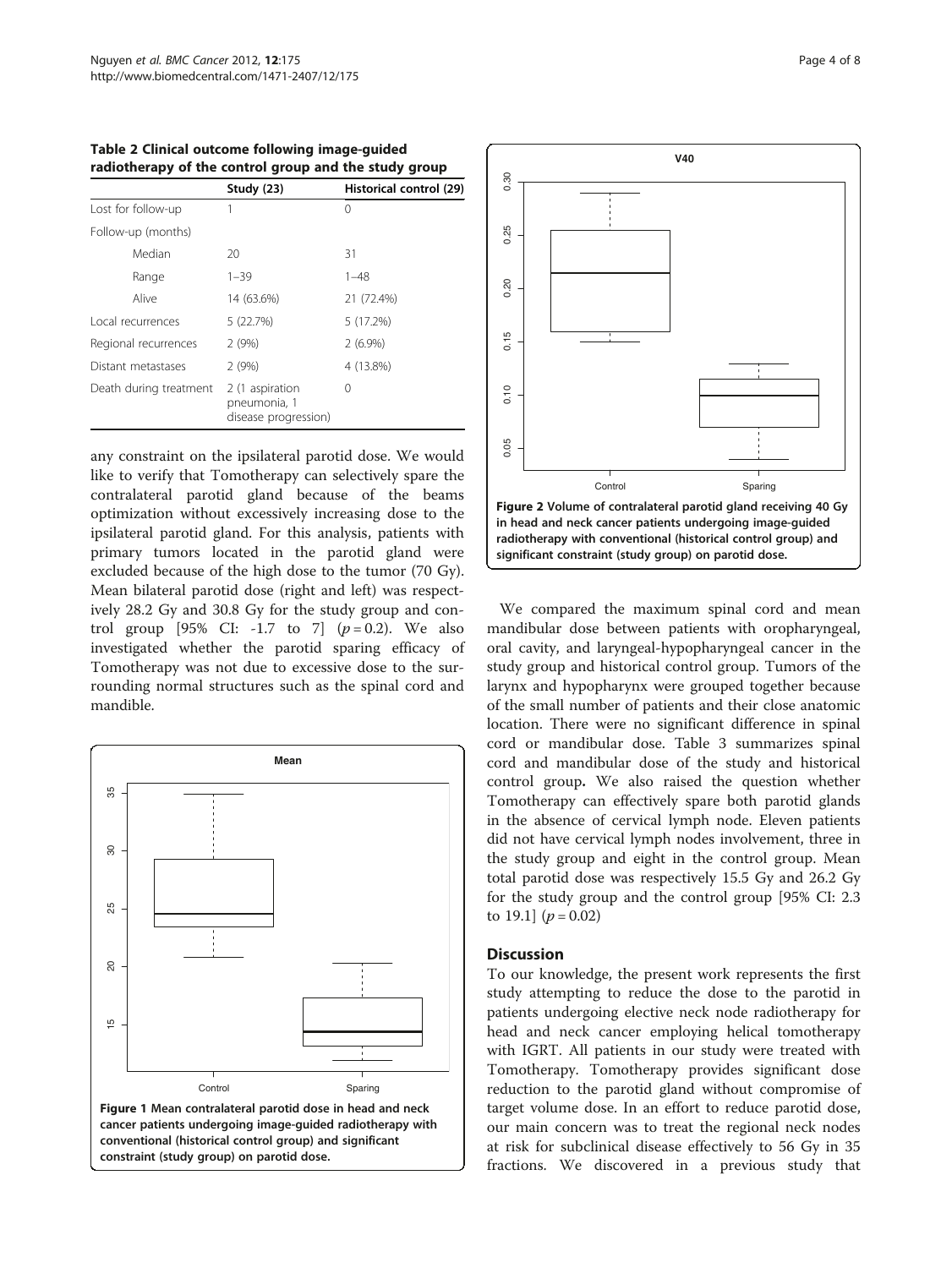|                        | Study (23)                                              | Historical control (29) |
|------------------------|---------------------------------------------------------|-------------------------|
| Lost for follow-up     |                                                         | 0                       |
| Follow-up (months)     |                                                         |                         |
| Median                 | 20                                                      | 31                      |
| Range                  | $1 - 39$                                                | $1 - 48$                |
| Alive                  | 14 (63.6%)                                              | 21 (72.4%)              |
| Local recurrences      | 5 (22.7%)                                               | 5(17.2%)                |
| Regional recurrences   | 2(9%)                                                   | $2(6.9\%)$              |
| Distant metastases     | 2(9%)                                                   | 4 (13.8%)               |
| Death during treatment | 2 (1 aspiration<br>pneumonia, 1<br>disease progression) | 0                       |

<span id="page-3-0"></span>Table 2 Clinical outcome following image-guided radiotherapy of the control group and the study group

any constraint on the ipsilateral parotid dose. We would like to verify that Tomotherapy can selectively spare the contralateral parotid gland because of the beams optimization without excessively increasing dose to the ipsilateral parotid gland. For this analysis, patients with primary tumors located in the parotid gland were excluded because of the high dose to the tumor (70 Gy). Mean bilateral parotid dose (right and left) was respectively 28.2 Gy and 30.8 Gy for the study group and control group [95% CI: -1.7 to 7]  $(p=0.2)$ . We also investigated whether the parotid sparing efficacy of Tomotherapy was not due to excessive dose to the surrounding normal structures such as the spinal cord and mandible.





We compared the maximum spinal cord and mean mandibular dose between patients with oropharyngeal, oral cavity, and laryngeal-hypopharyngeal cancer in the study group and historical control group. Tumors of the larynx and hypopharynx were grouped together because of the small number of patients and their close anatomic location. There were no significant difference in spinal cord or mandibular dose. Table [3](#page-5-0) summarizes spinal cord and mandibular dose of the study and historical control group. We also raised the question whether Tomotherapy can effectively spare both parotid glands in the absence of cervical lymph node. Eleven patients did not have cervical lymph nodes involvement, three in the study group and eight in the control group. Mean total parotid dose was respectively 15.5 Gy and 26.2 Gy for the study group and the control group [95% CI: 2.3 to 19.1]  $(p = 0.02)$ 

## **Discussion**

To our knowledge, the present work represents the first study attempting to reduce the dose to the parotid in patients undergoing elective neck node radiotherapy for head and neck cancer employing helical tomotherapy with IGRT. All patients in our study were treated with Tomotherapy. Tomotherapy provides significant dose reduction to the parotid gland without compromise of target volume dose. In an effort to reduce parotid dose, our main concern was to treat the regional neck nodes at risk for subclinical disease effectively to 56 Gy in 35 fractions. We discovered in a previous study that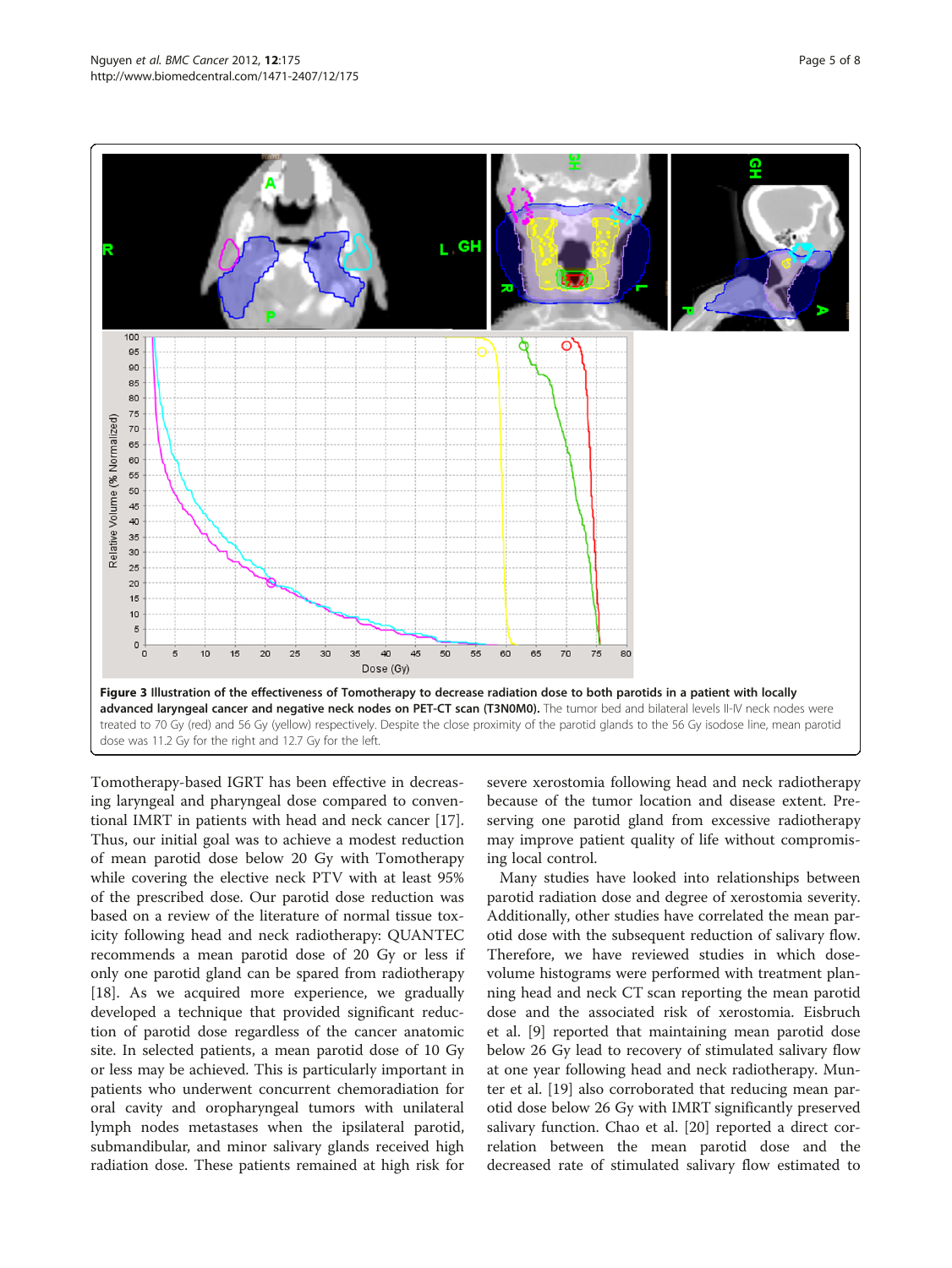<span id="page-4-0"></span>

Tomotherapy-based IGRT has been effective in decreasing laryngeal and pharyngeal dose compared to conventional IMRT in patients with head and neck cancer [\[17](#page-7-0)]. Thus, our initial goal was to achieve a modest reduction of mean parotid dose below 20 Gy with Tomotherapy while covering the elective neck PTV with at least 95% of the prescribed dose. Our parotid dose reduction was based on a review of the literature of normal tissue toxicity following head and neck radiotherapy: QUANTEC recommends a mean parotid dose of 20 Gy or less if only one parotid gland can be spared from radiotherapy [[18\]](#page-7-0). As we acquired more experience, we gradually developed a technique that provided significant reduction of parotid dose regardless of the cancer anatomic site. In selected patients, a mean parotid dose of 10 Gy or less may be achieved. This is particularly important in patients who underwent concurrent chemoradiation for oral cavity and oropharyngeal tumors with unilateral lymph nodes metastases when the ipsilateral parotid, submandibular, and minor salivary glands received high radiation dose. These patients remained at high risk for

severe xerostomia following head and neck radiotherapy because of the tumor location and disease extent. Preserving one parotid gland from excessive radiotherapy may improve patient quality of life without compromising local control.

Many studies have looked into relationships between parotid radiation dose and degree of xerostomia severity. Additionally, other studies have correlated the mean parotid dose with the subsequent reduction of salivary flow. Therefore, we have reviewed studies in which dosevolume histograms were performed with treatment planning head and neck CT scan reporting the mean parotid dose and the associated risk of xerostomia. Eisbruch et al. [[9](#page-6-0)] reported that maintaining mean parotid dose below 26 Gy lead to recovery of stimulated salivary flow at one year following head and neck radiotherapy. Munter et al. [[19\]](#page-7-0) also corroborated that reducing mean parotid dose below 26 Gy with IMRT significantly preserved salivary function. Chao et al. [\[20](#page-7-0)] reported a direct correlation between the mean parotid dose and the decreased rate of stimulated salivary flow estimated to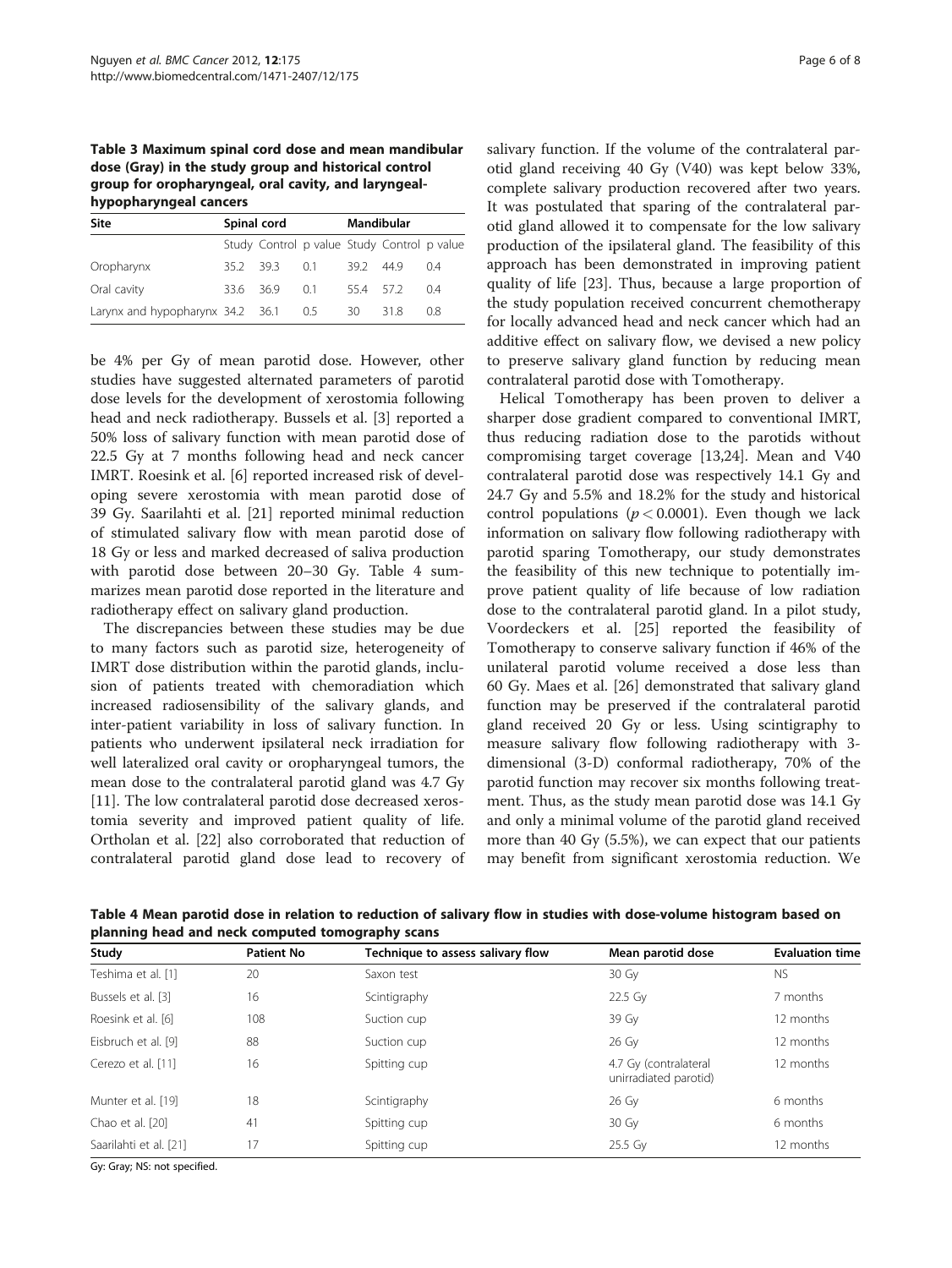<span id="page-5-0"></span>Table 3 Maximum spinal cord dose and mean mandibular dose (Gray) in the study group and historical control group for oropharyngeal, oral cavity, and laryngealhypopharyngeal cancers

| Site                                 | Spinal cord |                                             | Mandibular  |         |      |     |
|--------------------------------------|-------------|---------------------------------------------|-------------|---------|------|-----|
|                                      |             | Study Control p value Study Control p value |             |         |      |     |
| Oropharynx                           |             | 352 393                                     | $\bigcap$ 1 | 392 449 |      | 04  |
| Oral cavity                          |             | 33.6 36.9                                   | - 0.1       | 554 572 |      | 04  |
| Larynx and hypopharynx 34.2 36.1 0.5 |             |                                             |             | 30      | 31.8 | 0.8 |

be 4% per Gy of mean parotid dose. However, other studies have suggested alternated parameters of parotid dose levels for the development of xerostomia following head and neck radiotherapy. Bussels et al. [[3](#page-6-0)] reported a 50% loss of salivary function with mean parotid dose of 22.5 Gy at 7 months following head and neck cancer IMRT. Roesink et al. [\[6](#page-6-0)] reported increased risk of developing severe xerostomia with mean parotid dose of 39 Gy. Saarilahti et al. [[21\]](#page-7-0) reported minimal reduction of stimulated salivary flow with mean parotid dose of 18 Gy or less and marked decreased of saliva production with parotid dose between 20–30 Gy. Table 4 summarizes mean parotid dose reported in the literature and radiotherapy effect on salivary gland production.

The discrepancies between these studies may be due to many factors such as parotid size, heterogeneity of IMRT dose distribution within the parotid glands, inclusion of patients treated with chemoradiation which increased radiosensibility of the salivary glands, and inter-patient variability in loss of salivary function. In patients who underwent ipsilateral neck irradiation for well lateralized oral cavity or oropharyngeal tumors, the mean dose to the contralateral parotid gland was 4.7 Gy [[11\]](#page-6-0). The low contralateral parotid dose decreased xerostomia severity and improved patient quality of life. Ortholan et al. [[22](#page-7-0)] also corroborated that reduction of contralateral parotid gland dose lead to recovery of

salivary function. If the volume of the contralateral parotid gland receiving 40 Gy (V40) was kept below 33%, complete salivary production recovered after two years. It was postulated that sparing of the contralateral parotid gland allowed it to compensate for the low salivary production of the ipsilateral gland. The feasibility of this approach has been demonstrated in improving patient quality of life [[23\]](#page-7-0). Thus, because a large proportion of the study population received concurrent chemotherapy for locally advanced head and neck cancer which had an additive effect on salivary flow, we devised a new policy to preserve salivary gland function by reducing mean contralateral parotid dose with Tomotherapy.

Helical Tomotherapy has been proven to deliver a sharper dose gradient compared to conventional IMRT, thus reducing radiation dose to the parotids without compromising target coverage [\[13,24\]](#page-7-0). Mean and V40 contralateral parotid dose was respectively 14.1 Gy and 24.7 Gy and 5.5% and 18.2% for the study and historical control populations ( $p < 0.0001$ ). Even though we lack information on salivary flow following radiotherapy with parotid sparing Tomotherapy, our study demonstrates the feasibility of this new technique to potentially improve patient quality of life because of low radiation dose to the contralateral parotid gland. In a pilot study, Voordeckers et al. [[25\]](#page-7-0) reported the feasibility of Tomotherapy to conserve salivary function if 46% of the unilateral parotid volume received a dose less than 60 Gy. Maes et al. [\[26\]](#page-7-0) demonstrated that salivary gland function may be preserved if the contralateral parotid gland received 20 Gy or less. Using scintigraphy to measure salivary flow following radiotherapy with 3 dimensional (3-D) conformal radiotherapy, 70% of the parotid function may recover six months following treatment. Thus, as the study mean parotid dose was 14.1 Gy and only a minimal volume of the parotid gland received more than 40 Gy (5.5%), we can expect that our patients may benefit from significant xerostomia reduction. We

Table 4 Mean parotid dose in relation to reduction of salivary flow in studies with dose-volume histogram based on planning head and neck computed tomography scans

| Study                  | <b>Patient No</b> | Technique to assess salivary flow | Mean parotid dose                              | <b>Evaluation time</b> |  |
|------------------------|-------------------|-----------------------------------|------------------------------------------------|------------------------|--|
| Teshima et al. [1]     | 20                | Saxon test                        | 30 Gy                                          | <b>NS</b>              |  |
| Bussels et al. [3]     | 16                | Scintigraphy                      | 22.5 Gy                                        | 7 months               |  |
| Roesink et al. [6]     | 108               | Suction cup                       | 39 Gy                                          | 12 months              |  |
| Eisbruch et al. [9]    | 88                | Suction cup                       | 26 Gy                                          | 12 months              |  |
| Cerezo et al. [11]     | 16                | Spitting cup                      | 4.7 Gy (contralateral<br>unirradiated parotid) | 12 months              |  |
| Munter et al. [19]     | 18                | Scintigraphy                      | 26 Gy                                          | 6 months               |  |
| Chao et al. [20]       | 41                | Spitting cup                      | 30 Gy                                          | 6 months               |  |
| Saarilahti et al. [21] | 17                | Spitting cup                      | 25.5 Gy                                        | 12 months              |  |

Gy: Gray; NS: not specified.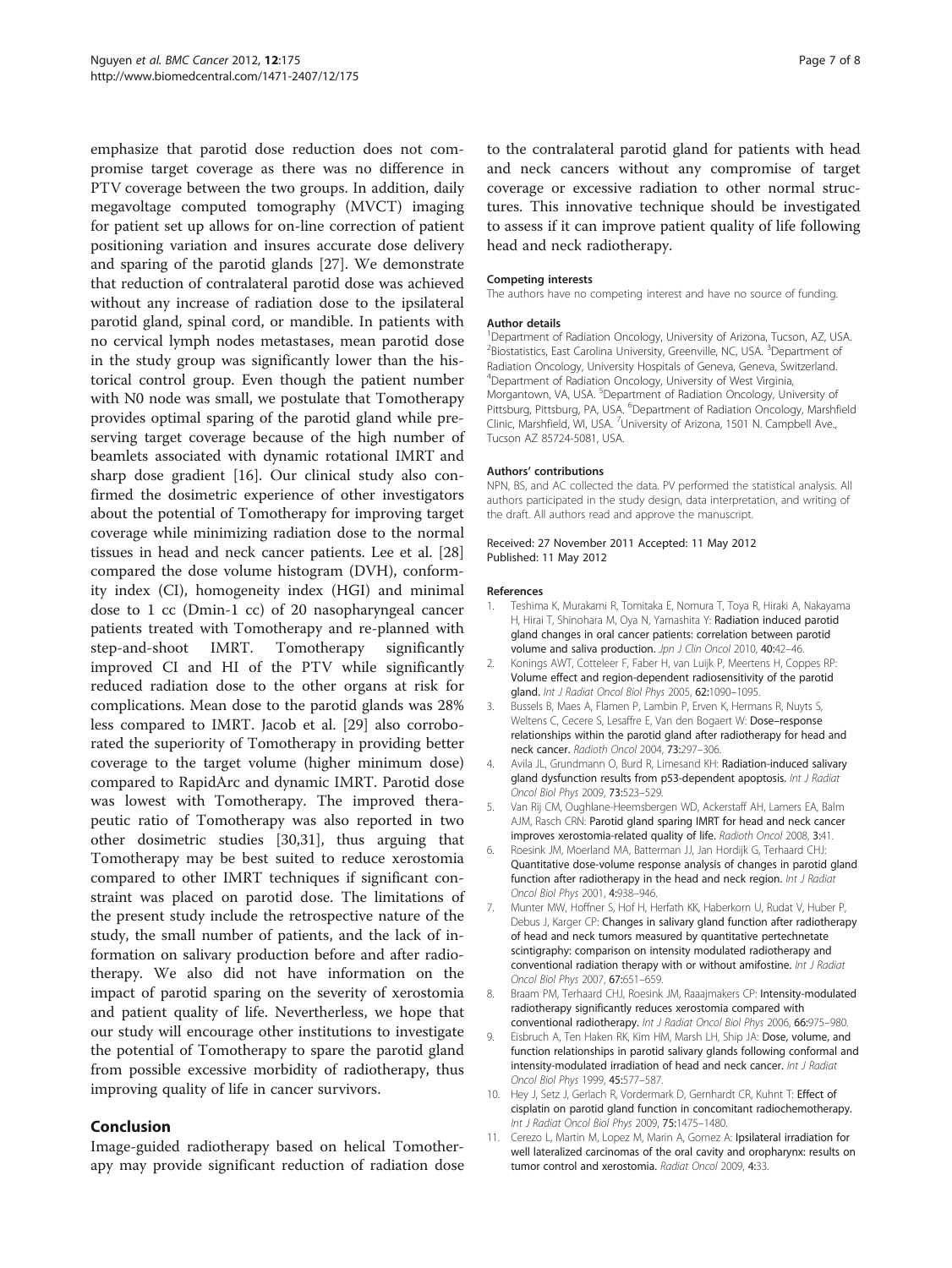<span id="page-6-0"></span>emphasize that parotid dose reduction does not compromise target coverage as there was no difference in PTV coverage between the two groups. In addition, daily megavoltage computed tomography (MVCT) imaging for patient set up allows for on-line correction of patient positioning variation and insures accurate dose delivery and sparing of the parotid glands [[27\]](#page-7-0). We demonstrate that reduction of contralateral parotid dose was achieved without any increase of radiation dose to the ipsilateral parotid gland, spinal cord, or mandible. In patients with no cervical lymph nodes metastases, mean parotid dose in the study group was significantly lower than the historical control group. Even though the patient number with N0 node was small, we postulate that Tomotherapy provides optimal sparing of the parotid gland while preserving target coverage because of the high number of beamlets associated with dynamic rotational IMRT and sharp dose gradient [\[16\]](#page-7-0). Our clinical study also confirmed the dosimetric experience of other investigators about the potential of Tomotherapy for improving target coverage while minimizing radiation dose to the normal tissues in head and neck cancer patients. Lee et al. [[28](#page-7-0)] compared the dose volume histogram (DVH), conformity index (CI), homogeneity index (HGI) and minimal dose to 1 cc (Dmin-1 cc) of 20 nasopharyngeal cancer patients treated with Tomotherapy and re-planned with step-and-shoot IMRT. Tomotherapy significantly improved CI and HI of the PTV while significantly reduced radiation dose to the other organs at risk for complications. Mean dose to the parotid glands was 28% less compared to IMRT. Jacob et al. [[29\]](#page-7-0) also corroborated the superiority of Tomotherapy in providing better coverage to the target volume (higher minimum dose) compared to RapidArc and dynamic IMRT. Parotid dose was lowest with Tomotherapy. The improved therapeutic ratio of Tomotherapy was also reported in two other dosimetric studies [[30,31\]](#page-7-0), thus arguing that Tomotherapy may be best suited to reduce xerostomia compared to other IMRT techniques if significant constraint was placed on parotid dose. The limitations of the present study include the retrospective nature of the study, the small number of patients, and the lack of information on salivary production before and after radiotherapy. We also did not have information on the impact of parotid sparing on the severity of xerostomia and patient quality of life. Nevertherless, we hope that our study will encourage other institutions to investigate the potential of Tomotherapy to spare the parotid gland from possible excessive morbidity of radiotherapy, thus improving quality of life in cancer survivors.

## Conclusion

Image-guided radiotherapy based on helical Tomotherapy may provide significant reduction of radiation dose

to the contralateral parotid gland for patients with head and neck cancers without any compromise of target coverage or excessive radiation to other normal structures. This innovative technique should be investigated to assess if it can improve patient quality of life following head and neck radiotherapy.

#### Competing interests

The authors have no competing interest and have no source of funding.

#### Author details

<sup>1</sup>Department of Radiation Oncology, University of Arizona, Tucson, AZ, USA. <sup>2</sup> Biostatistics, East Carolina University, Greenville, NC, USA. <sup>3</sup> Department of Radiation Oncology, University Hospitals of Geneva, Geneva, Switzerland. 4 Department of Radiation Oncology, University of West Virginia, Morgantown, VA, USA. <sup>5</sup>Department of Radiation Oncology, University of Pittsburg, Pittsburg, PA, USA. <sup>6</sup>Department of Radiation Oncology, Marshfield Clinic, Marshfield, WI, USA. <sup>7</sup>University of Arizona, 1501 N. Campbell Ave., Tucson AZ 85724-5081, USA.

#### Authors' contributions

NPN, BS, and AC collected the data. PV performed the statistical analysis. All authors participated in the study design, data interpretation, and writing of the draft. All authors read and approve the manuscript.

#### Received: 27 November 2011 Accepted: 11 May 2012 Published: 11 May 2012

#### References

- 1. Teshima K, Murakami R, Tomitaka E, Nomura T, Toya R, Hiraki A, Nakayama H, Hirai T, Shinohara M, Oya N, Yamashita Y: Radiation induced parotid gland changes in oral cancer patients: correlation between parotid volume and saliva production. Jpn J Clin Oncol 2010, 40:42-46.
- 2. Konings AWT, Cotteleer F, Faber H, van Luijk P, Meertens H, Coppes RP: Volume effect and region-dependent radiosensitivity of the parotid gland. Int J Radiat Oncol Biol Phys 2005, 62:1090–1095.
- 3. Bussels B, Maes A, Flamen P, Lambin P, Erven K, Hermans R, Nuyts S, Weltens C, Cecere S, Lesaffre E, Van den Bogaert W: Dose–response relationships within the parotid gland after radiotherapy for head and neck cancer. Radioth Oncol 2004, 73:297–306.
- 4. Avila JL, Grundmann O, Burd R, Limesand KH: Radiation-induced salivary gland dysfunction results from p53-dependent apoptosis. Int J Radiat Oncol Biol Phys 2009, 73:523–529.
- 5. Van Rij CM, Oughlane-Heemsbergen WD, Ackerstaff AH, Lamers EA, Balm AJM, Rasch CRN: Parotid gland sparing IMRT for head and neck cancer improves xerostomia-related quality of life. Radioth Oncol 2008, 3:41.
- 6. Roesink JM, Moerland MA, Batterman JJ, Jan Hordijk G, Terhaard CHJ: Quantitative dose-volume response analysis of changes in parotid gland function after radiotherapy in the head and neck region. Int J Radiat Oncol Biol Phys 2001, 4:938–946.
- 7. Munter MW, Hoffner S, Hof H, Herfath KK, Haberkorn U, Rudat V, Huber P, Debus J, Karger CP: Changes in salivary gland function after radiotherapy of head and neck tumors measured by quantitative pertechnetate scintigraphy: comparison on intensity modulated radiotherapy and conventional radiation therapy with or without amifostine. Int J Radiat Oncol Biol Phys 2007, 67:651–659.
- 8. Braam PM, Terhaard CHJ, Roesink JM, Raaajmakers CP: Intensity-modulated radiotherapy significantly reduces xerostomia compared with conventional radiotherapy. Int J Radiat Oncol Biol Phys 2006, 66:975–980.
- 9. Eisbruch A, Ten Haken RK, Kim HM, Marsh LH, Ship JA: Dose, volume, and function relationships in parotid salivary glands following conformal and intensity-modulated irradiation of head and neck cancer. Int J Radiat Oncol Biol Phys 1999, 45:577–587.
- 10. Hey J, Setz J, Gerlach R, Vordermark D, Gernhardt CR, Kuhnt T: Effect of cisplatin on parotid gland function in concomitant radiochemotherapy. Int J Radiat Oncol Biol Phys 2009, 75:1475–1480.
- 11. Cerezo L, Martin M, Lopez M, Marin A, Gomez A: Ipsilateral irradiation for well lateralized carcinomas of the oral cavity and oropharynx: results on tumor control and xerostomia. Radiat Oncol 2009, 4:33.